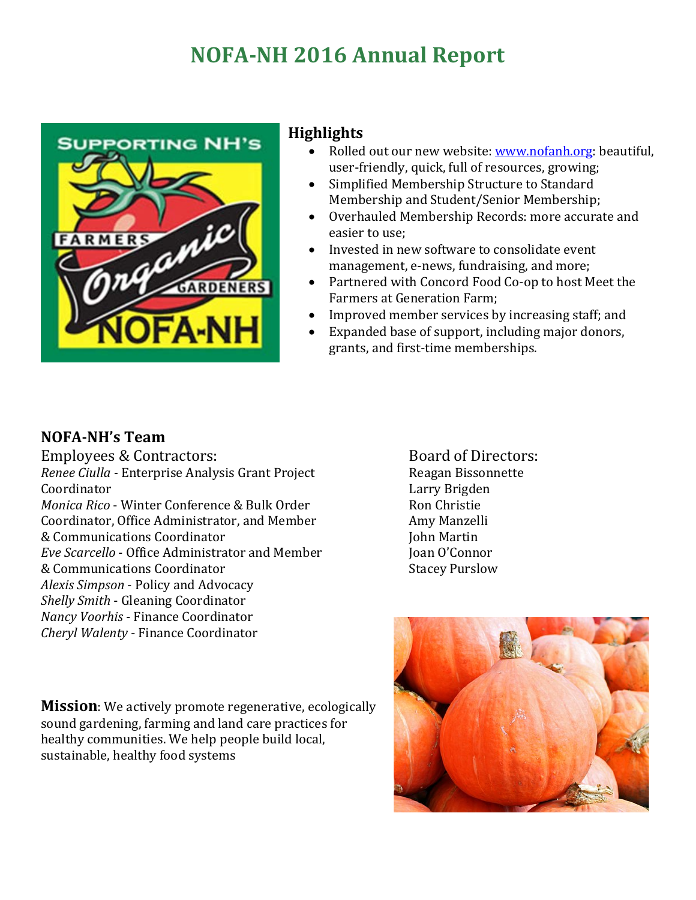# **NOFA-NH 2016 Annual Report**



#### **Highlights**

- Rolled out our new website[: www.nofanh.org:](http://www.nofanh.org/) beautiful, user-friendly, quick, full of resources, growing;
- Simplified Membership Structure to Standard Membership and Student/Senior Membership;
- Overhauled Membership Records: more accurate and easier to use;
- Invested in new software to consolidate event management, e-news, fundraising, and more;
- Partnered with Concord Food Co-op to host Meet the Farmers at Generation Farm;
- Improved member services by increasing staff; and<br>• Expanded base of support, including maior donors.
- Expanded base of support, including major donors, grants, and first-time memberships.

#### **NOFA-NH's Team**

Employees & Contractors: *Renee Ciulla -* Enterprise Analysis Grant Project Coordinator *Monica Rico* - Winter Conference & Bulk Order Coordinator, Office Administrator, and Member & Communications Coordinator *Eve Scarcello* - Office Administrator and Member & Communications Coordinator *Alexis Simpson* - Policy and Advocacy *Shelly Smith* - Gleaning Coordinator *Nancy Voorhis* - Finance Coordinator *Cheryl Walenty* - Finance Coordinator

Board of Directors: Reagan Bissonnette Larry Brigden Ron Christie Amy Manzelli John Martin Joan O'Connor Stacey Purslow



**Mission**: We actively promote regenerative, ecologically sound gardening, farming and land care practices for healthy communities. We help people build local, sustainable, healthy food systems